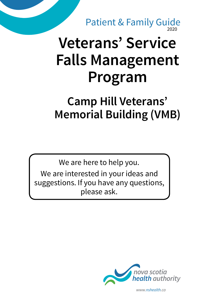2020 Patient & Family Guide

# **Veterans' Service Falls Management Program**

## **Camp Hill Veterans' Memorial Building (VMB)**

We are here to help you.

We are interested in your ideas and suggestions. If you have any questions, please ask.



*www.nshealth.ca*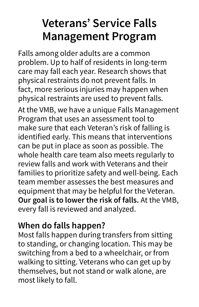## **Veterans' Service Falls Management Program**

Falls among older adults are a common problem. Up to half of residents in long-term care may fall each year. Research shows that physical restraints do not prevent falls. In fact, more serious injuries may happen when physical restraints are used to prevent falls.

At the VMB, we have a unique Falls Management Program that uses an assessment tool to make sure that each Veteran's risk of falling is identified early. This means that interventions can be put in place as soon as possible. The whole health care team also meets regularly to review falls and work with Veterans and their families to prioritize safety and well-being. Each team member assesses the best measures and equipment that may be helpful for the Veteran. **Our goal is to lower the risk of falls.** At the VMB, every fall is reviewed and analyzed.

#### **When do falls happen?**

Most falls happen during transfers from sitting to standing, or changing location. This may be switching from a bed to a wheelchair, or from walking to sitting. Veterans who can get up by themselves, but not stand or walk alone, are most likely to fall.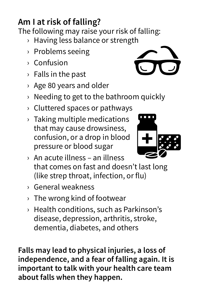### **Am I at risk of falling?**

The following may raise your risk of falling:

- › Having less balance or strength
- › Problems seeing
- › Confusion
- › Falls in the past
- › Age 80 years and older
- › Needing to get to the bathroom quickly
- › Cluttered spaces or pathways
- › Taking multiple medications that may cause drowsiness, confusion, or a drop in blood pressure or blood sugar



- › An acute illness an illness that comes on fast and doesn't last long (like strep throat, infection, or flu)
- › General weakness
- › The wrong kind of footwear
- › Health conditions, such as Parkinson's disease, depression, arthritis, stroke, dementia, diabetes, and others

**Falls may lead to physical injuries, a loss of independence, and a fear of falling again. It is important to talk with your health care team about falls when they happen.**